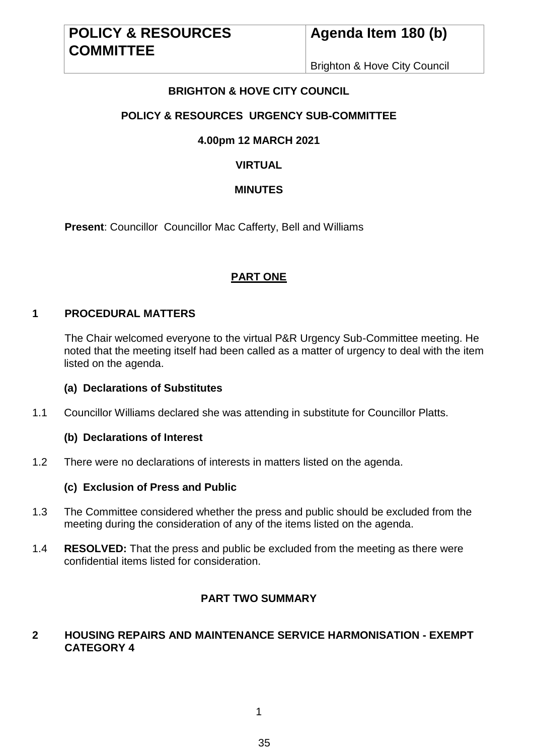Brighton & Hove City Council

# **BRIGHTON & HOVE CITY COUNCIL**

# **POLICY & RESOURCES URGENCY SUB-COMMITTEE**

## **4.00pm 12 MARCH 2021**

# **VIRTUAL**

### **MINUTES**

**Present**: Councillor Councillor Mac Cafferty, Bell and Williams

## **PART ONE**

### **1 PROCEDURAL MATTERS**

The Chair welcomed everyone to the virtual P&R Urgency Sub-Committee meeting. He noted that the meeting itself had been called as a matter of urgency to deal with the item listed on the agenda.

#### **(a) Declarations of Substitutes**

1.1 Councillor Williams declared she was attending in substitute for Councillor Platts.

#### **(b) Declarations of Interest**

1.2 There were no declarations of interests in matters listed on the agenda.

#### **(c) Exclusion of Press and Public**

- 1.3 The Committee considered whether the press and public should be excluded from the meeting during the consideration of any of the items listed on the agenda.
- 1.4 **RESOLVED:** That the press and public be excluded from the meeting as there were confidential items listed for consideration.

## **PART TWO SUMMARY**

### **2 HOUSING REPAIRS AND MAINTENANCE SERVICE HARMONISATION - EXEMPT CATEGORY 4**